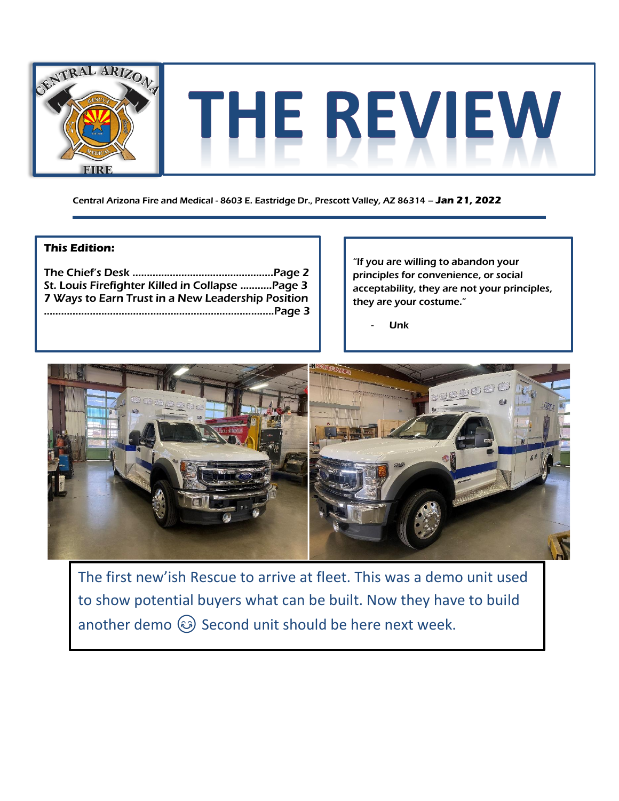

Central Arizona Fire and Medical - 8603 E. Eastridge Dr., Prescott Valley, AZ 86314 – **Jan 21, 2022**

### **This Edition:**

| St. Louis Firefighter Killed in Collapse  Page 3  |  |
|---------------------------------------------------|--|
| 7 Ways to Earn Trust in a New Leadership Position |  |
|                                                   |  |
|                                                   |  |

"If you are willing to abandon your principles for convenience, or social acceptability, they are not your principles, they are your costume."

**Unk** 



The first new'ish Rescue to arrive at fleet. This was a demo unit used to show potential buyers what can be built. Now they have to build another demo  $\circled{3}$  Second unit should be here next week.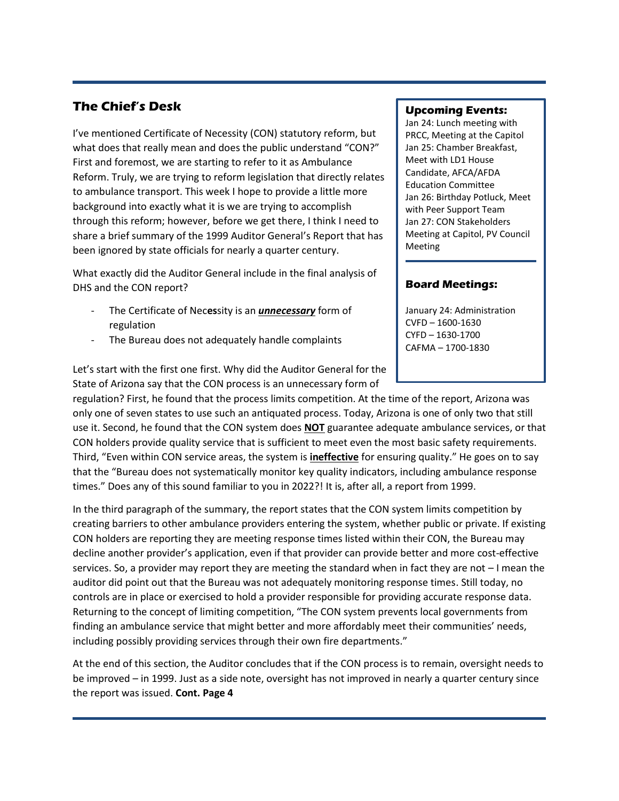## **The Chief's Desk**

I've mentioned Certificate of Necessity (CON) statutory reform, but what does that really mean and does the public understand "CON?" First and foremost, we are starting to refer to it as Ambulance Reform. Truly, we are trying to reform legislation that directly relates to ambulance transport. This week I hope to provide a little more background into exactly what it is we are trying to accomplish through this reform; however, before we get there, I think I need to share a brief summary of the 1999 Auditor General's Report that has been ignored by state officials for nearly a quarter century.

What exactly did the Auditor General include in the final analysis of DHS and the CON report?

- The Certificate of Nec**es**sity is an *unnecessary* form of regulation
- The Bureau does not adequately handle complaints

#### **Upcoming Events:**

Jan 24: Lunch meeting with PRCC, Meeting at the Capitol Jan 25: Chamber Breakfast, Meet with LD1 House Candidate, AFCA/AFDA Education Committee Jan 26: Birthday Potluck, Meet with Peer Support Team Jan 27: CON Stakeholders Meeting at Capitol, PV Council **Meeting** 

### **Board Meetings:**

January 24: Administration CVFD – 1600-1630 CYFD – 1630-1700 CAFMA – 1700-1830

Let's start with the first one first. Why did the Auditor General for the State of Arizona say that the CON process is an unnecessary form of

regulation? First, he found that the process limits competition. At the time of the report, Arizona was only one of seven states to use such an antiquated process. Today, Arizona is one of only two that still use it. Second, he found that the CON system does **NOT** guarantee adequate ambulance services, or that CON holders provide quality service that is sufficient to meet even the most basic safety requirements. Third, "Even within CON service areas, the system is **ineffective** for ensuring quality." He goes on to say that the "Bureau does not systematically monitor key quality indicators, including ambulance response times." Does any of this sound familiar to you in 2022?! It is, after all, a report from 1999.

In the third paragraph of the summary, the report states that the CON system limits competition by creating barriers to other ambulance providers entering the system, whether public or private. If existing CON holders are reporting they are meeting response times listed within their CON, the Bureau may decline another provider's application, even if that provider can provide better and more cost-effective services. So, a provider may report they are meeting the standard when in fact they are not – I mean the auditor did point out that the Bureau was not adequately monitoring response times. Still today, no controls are in place or exercised to hold a provider responsible for providing accurate response data. Returning to the concept of limiting competition, "The CON system prevents local governments from finding an ambulance service that might better and more affordably meet their communities' needs, including possibly providing services through their own fire departments."

At the end of this section, the Auditor concludes that if the CON process is to remain, oversight needs to be improved – in 1999. Just as a side note, oversight has not improved in nearly a quarter century since the report was issued. **Cont. Page 4**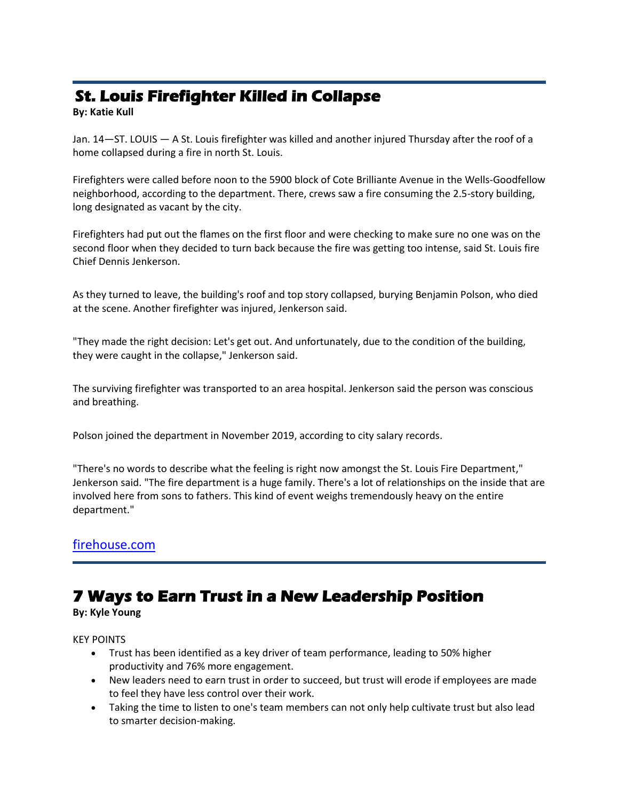# **St. Louis Firefighter Killed in Collapse**

**By: Katie Kull**

Jan. 14—ST. LOUIS — A St. Louis firefighter was killed and another injured Thursday after the roof of a home collapsed during a fire in north St. Louis.

Firefighters were called before noon to the 5900 block of Cote Brilliante Avenue in the Wells-Goodfellow neighborhood, according to the department. There, crews saw a fire consuming the 2.5-story building, long designated as vacant by the city.

Firefighters had put out the flames on the first floor and were checking to make sure no one was on the second floor when they decided to turn back because the fire was getting too intense, said St. Louis fire Chief Dennis Jenkerson.

As they turned to leave, the building's roof and top story collapsed, burying Benjamin Polson, who died at the scene. Another firefighter was injured, Jenkerson said.

"They made the right decision: Let's get out. And unfortunately, due to the condition of the building, they were caught in the collapse," Jenkerson said.

The surviving firefighter was transported to an area hospital. Jenkerson said the person was conscious and breathing.

Polson joined the department in November 2019, according to city salary records.

"There's no words to describe what the feeling is right now amongst the St. Louis Fire Department," Jenkerson said. "The fire department is a huge family. There's a lot of relationships on the inside that are involved here from sons to fathers. This kind of event weighs tremendously heavy on the entire department."

## [firehouse.com](https://www.firehouse.com/lodds/news/21253122/st-louis-firefighter-killed-in-collapse)

## **7 Ways to Earn Trust in a New Leadership Position**

### **By: Kyle Young**

KEY POINTS

- Trust has been identified as a key driver of team performance, leading to 50% higher productivity and 76% more engagement.
- New leaders need to earn trust in order to succeed, but trust will erode if employees are made to feel they have less control over their work.
- Taking the time to listen to one's team members can not only help cultivate trust but also lead to smarter decision-making.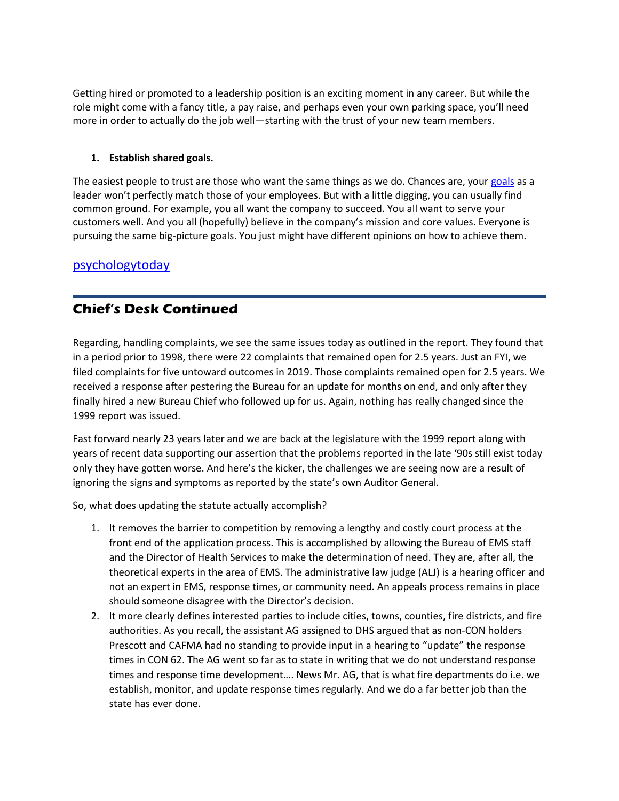Getting hired or promoted to a leadership position is an exciting moment in any career. But while the role might come with a fancy title, a pay raise, and perhaps even your own parking space, you'll need more in order to actually do the job well—starting with the trust of your new team members.

### **1. Establish shared goals.**

The easiest people to trust are those who want the same things as we do. Chances are, your [goals](https://www.psychologytoday.com/us/basics/motivation) as a leader won't perfectly match those of your employees. But with a little digging, you can usually find common ground. For example, you all want the company to succeed. You all want to serve your customers well. And you all (hopefully) believe in the company's mission and core values. Everyone is pursuing the same big-picture goals. You just might have different opinions on how to achieve them.

### [psychologytoday](https://www.psychologytoday.com/us/blog/activating-insights/202201/7-ways-earn-trust-in-new-leadership-position)

## **Chief's Desk Continued**

Regarding, handling complaints, we see the same issues today as outlined in the report. They found that in a period prior to 1998, there were 22 complaints that remained open for 2.5 years. Just an FYI, we filed complaints for five untoward outcomes in 2019. Those complaints remained open for 2.5 years. We received a response after pestering the Bureau for an update for months on end, and only after they finally hired a new Bureau Chief who followed up for us. Again, nothing has really changed since the 1999 report was issued.

Fast forward nearly 23 years later and we are back at the legislature with the 1999 report along with years of recent data supporting our assertion that the problems reported in the late '90s still exist today only they have gotten worse. And here's the kicker, the challenges we are seeing now are a result of ignoring the signs and symptoms as reported by the state's own Auditor General.

So, what does updating the statute actually accomplish?

- 1. It removes the barrier to competition by removing a lengthy and costly court process at the front end of the application process. This is accomplished by allowing the Bureau of EMS staff and the Director of Health Services to make the determination of need. They are, after all, the theoretical experts in the area of EMS. The administrative law judge (ALJ) is a hearing officer and not an expert in EMS, response times, or community need. An appeals process remains in place should someone disagree with the Director's decision.
- 2. It more clearly defines interested parties to include cities, towns, counties, fire districts, and fire authorities. As you recall, the assistant AG assigned to DHS argued that as non-CON holders Prescott and CAFMA had no standing to provide input in a hearing to "update" the response times in CON 62. The AG went so far as to state in writing that we do not understand response times and response time development…. News Mr. AG, that is what fire departments do i.e. we establish, monitor, and update response times regularly. And we do a far better job than the state has ever done.